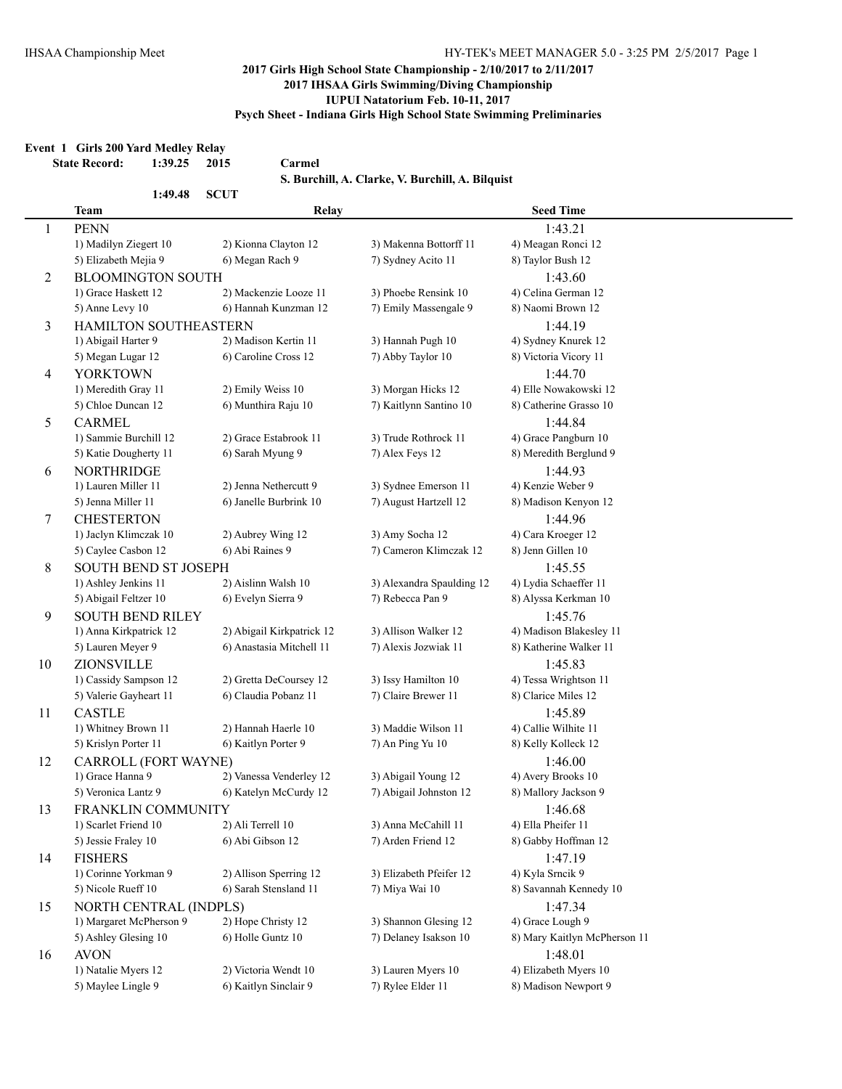#### **Event 1 Girls 200 Yard Medley Relay**

**State Record: 1:39.25 2015 Carmel**

**S. Burchill, A. Clarke, V. Burchill, A. Bilquist**

|    | 1:49.48                     | <b>SCUT</b>               |                           |                              |  |
|----|-----------------------------|---------------------------|---------------------------|------------------------------|--|
|    | <b>Team</b>                 | Relay                     |                           | <b>Seed Time</b>             |  |
| 1  | <b>PENN</b>                 |                           |                           | 1:43.21                      |  |
|    | 1) Madilyn Ziegert 10       | 2) Kionna Clayton 12      | 3) Makenna Bottorff 11    | 4) Meagan Ronci 12           |  |
|    | 5) Elizabeth Mejia 9        | 6) Megan Rach 9           | 7) Sydney Acito 11        | 8) Taylor Bush 12            |  |
| 2  | <b>BLOOMINGTON SOUTH</b>    |                           |                           | 1:43.60                      |  |
|    | 1) Grace Haskett 12         | 2) Mackenzie Looze 11     | 3) Phoebe Rensink 10      | 4) Celina German 12          |  |
|    | 5) Anne Levy 10             | 6) Hannah Kunzman 12      | 7) Emily Massengale 9     | 8) Naomi Brown 12            |  |
| 3  | HAMILTON SOUTHEASTERN       |                           |                           | 1:44.19                      |  |
|    | 1) Abigail Harter 9         | 2) Madison Kertin 11      | 3) Hannah Pugh 10         | 4) Sydney Knurek 12          |  |
|    | 5) Megan Lugar 12           | 6) Caroline Cross 12      | 7) Abby Taylor 10         | 8) Victoria Vicory 11        |  |
| 4  | <b>YORKTOWN</b>             |                           |                           | 1:44.70                      |  |
|    | 1) Meredith Gray 11         | 2) Emily Weiss 10         | 3) Morgan Hicks 12        | 4) Elle Nowakowski 12        |  |
|    | 5) Chloe Duncan 12          | 6) Munthira Raju 10       | 7) Kaitlynn Santino 10    | 8) Catherine Grasso 10       |  |
| 5  | <b>CARMEL</b>               |                           |                           | 1:44.84                      |  |
|    | 1) Sammie Burchill 12       | 2) Grace Estabrook 11     | 3) Trude Rothrock 11      | 4) Grace Pangburn 10         |  |
|    | 5) Katie Dougherty 11       | 6) Sarah Myung 9          | 7) Alex Feys 12           | 8) Meredith Berglund 9       |  |
| 6  | <b>NORTHRIDGE</b>           |                           |                           | 1:44.93                      |  |
|    | 1) Lauren Miller 11         | 2) Jenna Nethercutt 9     | 3) Sydnee Emerson 11      | 4) Kenzie Weber 9            |  |
|    | 5) Jenna Miller 11          | 6) Janelle Burbrink 10    | 7) August Hartzell 12     | 8) Madison Kenyon 12         |  |
| 7  | <b>CHESTERTON</b>           |                           |                           | 1:44.96                      |  |
|    | 1) Jaclyn Klimczak 10       | 2) Aubrey Wing 12         | 3) Amy Socha 12           | 4) Cara Kroeger 12           |  |
|    | 5) Caylee Casbon 12         | 6) Abi Raines 9           | 7) Cameron Klimczak 12    | 8) Jenn Gillen 10            |  |
| 8  | <b>SOUTH BEND ST JOSEPH</b> |                           |                           | 1:45.55                      |  |
|    | 1) Ashley Jenkins 11        | 2) Aislinn Walsh 10       | 3) Alexandra Spaulding 12 | 4) Lydia Schaeffer 11        |  |
|    | 5) Abigail Feltzer 10       | 6) Evelyn Sierra 9        | 7) Rebecca Pan 9          | 8) Alyssa Kerkman 10         |  |
| 9  | <b>SOUTH BEND RILEY</b>     |                           |                           | 1:45.76                      |  |
|    | 1) Anna Kirkpatrick 12      | 2) Abigail Kirkpatrick 12 | 3) Allison Walker 12      | 4) Madison Blakesley 11      |  |
|    | 5) Lauren Meyer 9           | 6) Anastasia Mitchell 11  | 7) Alexis Jozwiak 11      | 8) Katherine Walker 11       |  |
| 10 | ZIONSVILLE                  |                           |                           | 1:45.83                      |  |
|    | 1) Cassidy Sampson 12       | 2) Gretta DeCoursey 12    | 3) Issy Hamilton 10       | 4) Tessa Wrightson 11        |  |
|    | 5) Valerie Gayheart 11      | 6) Claudia Pobanz 11      | 7) Claire Brewer 11       | 8) Clarice Miles 12          |  |
| 11 | <b>CASTLE</b>               |                           |                           | 1:45.89                      |  |
|    | 1) Whitney Brown 11         | 2) Hannah Haerle 10       | 3) Maddie Wilson 11       | 4) Callie Wilhite 11         |  |
|    | 5) Krislyn Porter 11        | 6) Kaitlyn Porter 9       | 7) An Ping Yu 10          | 8) Kelly Kolleck 12          |  |
| 12 | CARROLL (FORT WAYNE)        |                           |                           | 1:46.00                      |  |
|    | 1) Grace Hanna 9            | 2) Vanessa Venderley 12   | 3) Abigail Young 12       | 4) Avery Brooks 10           |  |
|    | 5) Veronica Lantz 9         | 6) Katelyn McCurdy 12     | 7) Abigail Johnston 12    | 8) Mallory Jackson 9         |  |
| 13 | FRANKLIN COMMUNITY          |                           |                           | 1:46.68                      |  |
|    | 1) Scarlet Friend 10        | 2) Ali Terrell 10         | 3) Anna McCahill 11       | 4) Ella Pheifer 11           |  |
|    | 5) Jessie Fraley 10         | 6) Abi Gibson 12          | 7) Arden Friend 12        | 8) Gabby Hoffman 12          |  |
| 14 | <b>FISHERS</b>              |                           |                           | 1:47.19                      |  |
|    | 1) Corinne Yorkman 9        | 2) Allison Sperring 12    | 3) Elizabeth Pfeifer 12   | 4) Kyla Srncik 9             |  |
|    | 5) Nicole Rueff 10          | 6) Sarah Stensland 11     | 7) Miya Wai 10            | 8) Savannah Kennedy 10       |  |
| 15 | NORTH CENTRAL (INDPLS)      |                           |                           | 1:47.34                      |  |
|    | 1) Margaret McPherson 9     | 2) Hope Christy 12        | 3) Shannon Glesing 12     | 4) Grace Lough 9             |  |
|    | 5) Ashley Glesing 10        | 6) Holle Guntz 10         | 7) Delaney Isakson 10     | 8) Mary Kaitlyn McPherson 11 |  |
| 16 | <b>AVON</b>                 |                           |                           | 1:48.01                      |  |
|    | 1) Natalie Myers 12         | 2) Victoria Wendt 10      | 3) Lauren Myers 10        | 4) Elizabeth Myers 10        |  |
|    | 5) Maylee Lingle 9          | 6) Kaitlyn Sinclair 9     | 7) Rylee Elder 11         | 8) Madison Newport 9         |  |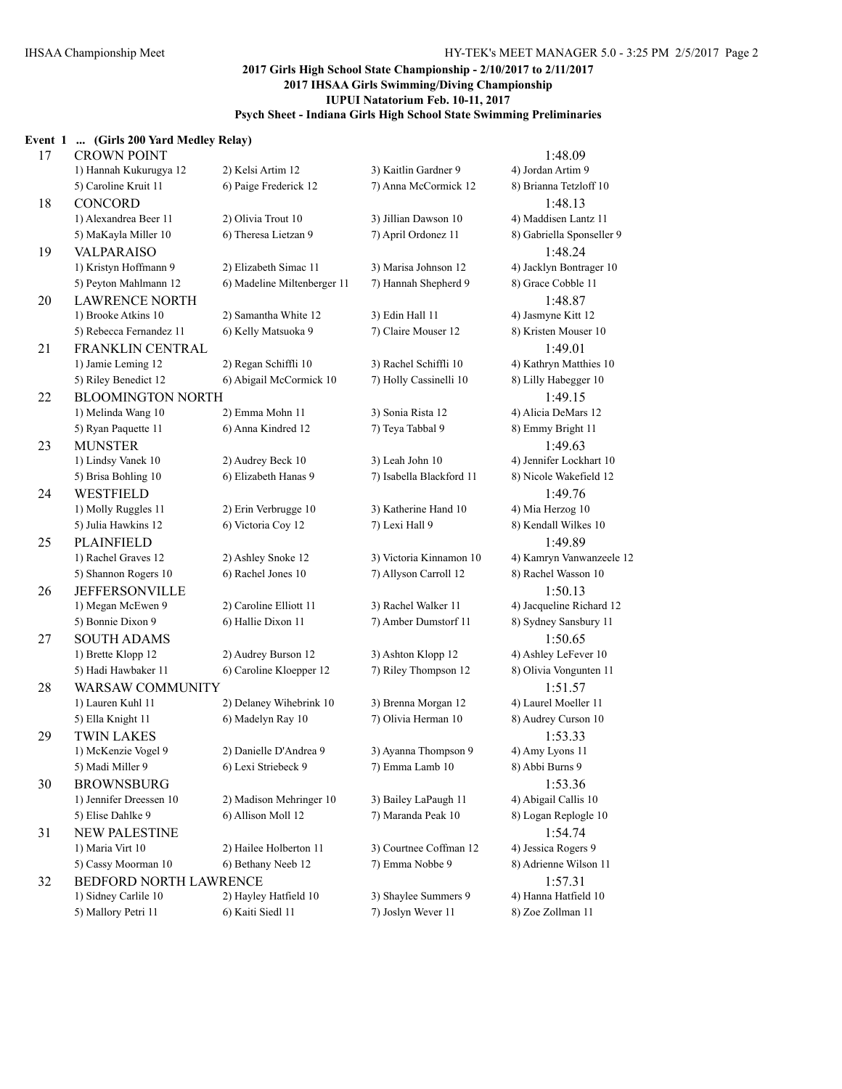#### **Event 1 ... (Girls 200 Yard Medley Relay)**

| 17 | <b>CROWN POINT</b>                        |                                                |                                            | 1:48.09                                        |
|----|-------------------------------------------|------------------------------------------------|--------------------------------------------|------------------------------------------------|
|    | 1) Hannah Kukurugya 12                    | 2) Kelsi Artim 12                              | 3) Kaitlin Gardner 9                       | 4) Jordan Artim 9                              |
|    | 5) Caroline Kruit 11                      | 6) Paige Frederick 12                          | 7) Anna McCormick 12                       | 8) Brianna Tetzloff 10                         |
| 18 | <b>CONCORD</b>                            |                                                |                                            | 1:48.13                                        |
|    | 1) Alexandrea Beer 11                     | 2) Olivia Trout 10                             | 3) Jillian Dawson 10                       | 4) Maddisen Lantz 11                           |
|    | 5) MaKayla Miller 10                      | 6) Theresa Lietzan 9                           | 7) April Ordonez 11                        | 8) Gabriella Sponseller 9                      |
| 19 | <b>VALPARAISO</b>                         |                                                |                                            | 1:48.24                                        |
|    | 1) Kristyn Hoffmann 9                     | 2) Elizabeth Simac 11                          | 3) Marisa Johnson 12                       | 4) Jacklyn Bontrager 10                        |
|    | 5) Peyton Mahlmann 12                     | 6) Madeline Miltenberger 11                    | 7) Hannah Shepherd 9                       | 8) Grace Cobble 11                             |
| 20 | <b>LAWRENCE NORTH</b>                     |                                                |                                            | 1:48.87                                        |
|    | 1) Brooke Atkins 10                       | 2) Samantha White 12                           | 3) Edin Hall 11                            | 4) Jasmyne Kitt 12                             |
|    | 5) Rebecca Fernandez 11                   | 6) Kelly Matsuoka 9                            | 7) Claire Mouser 12                        | 8) Kristen Mouser 10                           |
| 21 | FRANKLIN CENTRAL                          |                                                |                                            | 1:49.01                                        |
|    | 1) Jamie Leming 12                        | 2) Regan Schiffli 10                           | 3) Rachel Schiffli 10                      | 4) Kathryn Matthies 10                         |
|    | 5) Riley Benedict 12                      | 6) Abigail McCormick 10                        | 7) Holly Cassinelli 10                     | 8) Lilly Habegger 10                           |
| 22 | <b>BLOOMINGTON NORTH</b>                  |                                                |                                            | 1:49.15                                        |
|    | 1) Melinda Wang 10                        | 2) Emma Mohn 11                                | 3) Sonia Rista 12                          | 4) Alicia DeMars 12                            |
|    | 5) Ryan Paquette 11                       | 6) Anna Kindred 12                             | 7) Teya Tabbal 9                           | 8) Emmy Bright 11                              |
| 23 | <b>MUNSTER</b>                            |                                                |                                            | 1:49.63                                        |
|    | 1) Lindsy Vanek 10                        | 2) Audrey Beck 10                              | 3) Leah John 10                            | 4) Jennifer Lockhart 10                        |
|    | 5) Brisa Bohling 10                       | 6) Elizabeth Hanas 9                           | 7) Isabella Blackford 11                   | 8) Nicole Wakefield 12                         |
| 24 | <b>WESTFIELD</b>                          |                                                |                                            | 1:49.76                                        |
|    | 1) Molly Ruggles 11                       | 2) Erin Verbrugge 10                           | 3) Katherine Hand 10                       | 4) Mia Herzog 10                               |
|    | 5) Julia Hawkins 12                       | 6) Victoria Coy 12                             | 7) Lexi Hall 9                             | 8) Kendall Wilkes 10                           |
| 25 | <b>PLAINFIELD</b>                         |                                                |                                            | 1:49.89                                        |
|    | 1) Rachel Graves 12                       | 2) Ashley Snoke 12                             | 3) Victoria Kinnamon 10                    | 4) Kamryn Vanwanzeele 12                       |
|    | 5) Shannon Rogers 10                      | 6) Rachel Jones 10                             | 7) Allyson Carroll 12                      | 8) Rachel Wasson 10                            |
| 26 | <b>JEFFERSONVILLE</b>                     |                                                |                                            | 1:50.13                                        |
|    | 1) Megan McEwen 9                         | 2) Caroline Elliott 11                         | 3) Rachel Walker 11                        | 4) Jacqueline Richard 12                       |
|    | 5) Bonnie Dixon 9                         | 6) Hallie Dixon 11                             | 7) Amber Dumstorf 11                       | 8) Sydney Sansbury 11                          |
|    |                                           |                                                |                                            |                                                |
| 27 | <b>SOUTH ADAMS</b>                        |                                                |                                            | 1:50.65                                        |
|    | 1) Brette Klopp 12<br>5) Hadi Hawbaker 11 | 2) Audrey Burson 12<br>6) Caroline Kloepper 12 | 3) Ashton Klopp 12<br>7) Riley Thompson 12 | 4) Ashley LeFever 10<br>8) Olivia Vongunten 11 |
|    |                                           |                                                |                                            |                                                |
| 28 | WARSAW COMMUNITY                          |                                                |                                            | 1:51.57                                        |
|    | 1) Lauren Kuhl 11                         | 2) Delaney Wihebrink 10                        | 3) Brenna Morgan 12                        | 4) Laurel Moeller 11                           |
|    | 5) Ella Knight 11                         | 6) Madelyn Ray 10                              | 7) Olivia Herman 10                        | 8) Audrey Curson 10                            |
| 29 | <b>TWIN LAKES</b>                         |                                                |                                            | 1:53.33                                        |
|    | 1) McKenzie Vogel 9                       | 2) Danielle D'Andrea 9                         | 3) Ayanna Thompson 9                       | 4) Amy Lyons 11                                |
|    | 5) Madi Miller 9                          | 6) Lexi Striebeck 9                            | 7) Emma Lamb 10                            | 8) Abbi Burns 9                                |
| 30 | <b>BROWNSBURG</b>                         |                                                |                                            | 1:53.36                                        |
|    | 1) Jennifer Dreessen 10                   | 2) Madison Mehringer 10                        | 3) Bailey LaPaugh 11                       | 4) Abigail Callis 10                           |
|    | 5) Elise Dahlke 9                         | 6) Allison Moll 12                             | 7) Maranda Peak 10                         | 8) Logan Replogle 10                           |
| 31 | <b>NEW PALESTINE</b>                      |                                                |                                            | 1:54.74                                        |
|    | 1) Maria Virt 10                          | 2) Hailee Holberton 11                         | 3) Courtnee Coffman 12                     | 4) Jessica Rogers 9                            |
|    | 5) Cassy Moorman 10                       | 6) Bethany Neeb 12                             | 7) Emma Nobbe 9                            | 8) Adrienne Wilson 11                          |
| 32 | BEDFORD NORTH LAWRENCE                    |                                                |                                            | 1:57.31                                        |
|    | 1) Sidney Carlile 10                      | 2) Hayley Hatfield 10                          | 3) Shaylee Summers 9                       | 4) Hanna Hatfield 10                           |
|    | 5) Mallory Petri 11                       | 6) Kaiti Siedl 11                              | 7) Joslyn Wever 11                         | 8) Zoe Zollman 11                              |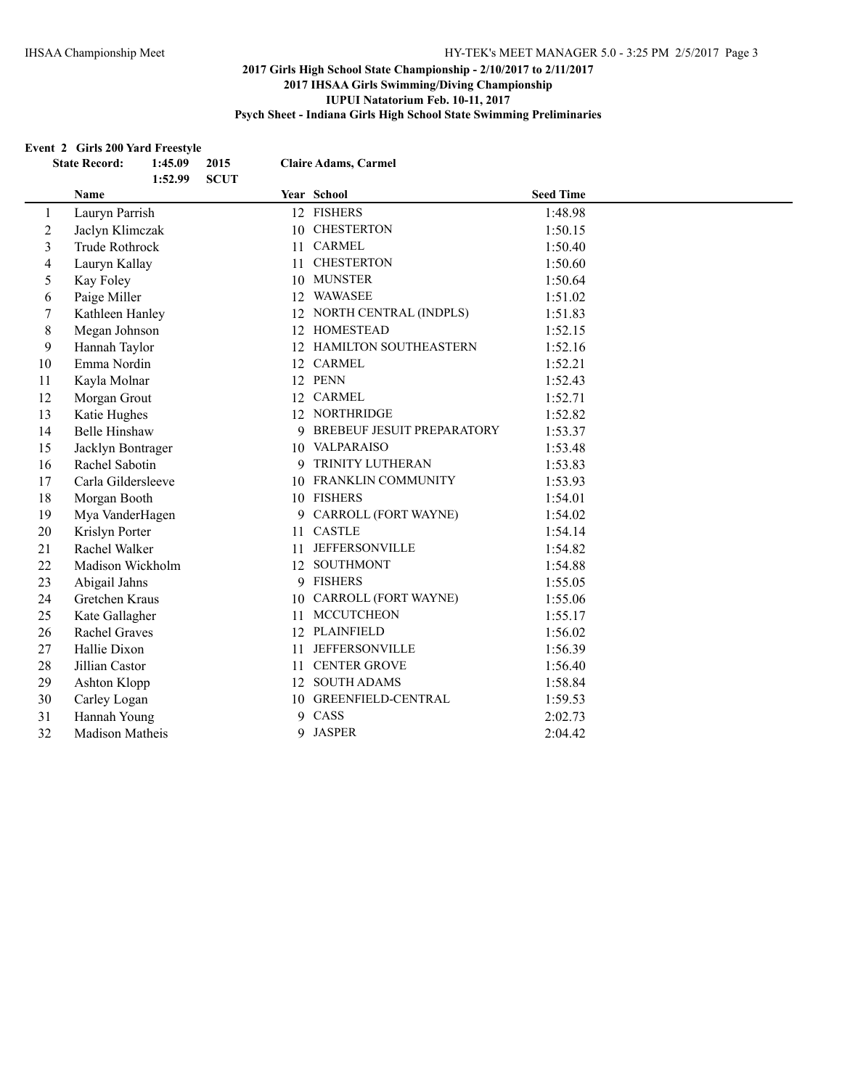# **Event 2 Girls 200 Yard Freestyle**<br>State Besond: 1.45.00 2015

|                          | EVEIL 2 GIFTS 200 YAFU FFEESIYIE<br>1:45.09<br><b>State Record:</b><br>1:52.99 | 2015<br><b>SCUT</b> |    | <b>Claire Adams, Carmel</b>  |                  |  |
|--------------------------|--------------------------------------------------------------------------------|---------------------|----|------------------------------|------------------|--|
|                          | Name                                                                           |                     |    | Year School                  | <b>Seed Time</b> |  |
| $\mathbf{1}$             | Lauryn Parrish                                                                 |                     |    | 12 FISHERS                   | 1:48.98          |  |
| $\overline{2}$           | Jaclyn Klimczak                                                                |                     |    | 10 CHESTERTON                | 1:50.15          |  |
| 3                        | Trude Rothrock                                                                 |                     |    | 11 CARMEL                    | 1:50.40          |  |
| $\overline{\mathcal{L}}$ | Lauryn Kallay                                                                  |                     |    | 11 CHESTERTON                | 1:50.60          |  |
| 5                        | Kay Foley                                                                      |                     |    | 10 MUNSTER                   | 1:50.64          |  |
| 6                        | Paige Miller                                                                   |                     |    | 12 WAWASEE                   | 1:51.02          |  |
| 7                        | Kathleen Hanley                                                                |                     |    | 12 NORTH CENTRAL (INDPLS)    | 1:51.83          |  |
| 8                        | Megan Johnson                                                                  |                     |    | 12 HOMESTEAD                 | 1:52.15          |  |
| 9                        | Hannah Taylor                                                                  |                     |    | 12 HAMILTON SOUTHEASTERN     | 1:52.16          |  |
| 10                       | Emma Nordin                                                                    |                     |    | 12 CARMEL                    | 1:52.21          |  |
| 11                       | Kayla Molnar                                                                   |                     |    | 12 PENN                      | 1:52.43          |  |
| 12                       | Morgan Grout                                                                   |                     |    | 12 CARMEL                    | 1:52.71          |  |
| 13                       | Katie Hughes                                                                   |                     |    | 12 NORTHRIDGE                | 1:52.82          |  |
| 14                       | <b>Belle Hinshaw</b>                                                           |                     |    | 9 BREBEUF JESUIT PREPARATORY | 1:53.37          |  |
| 15                       | Jacklyn Bontrager                                                              |                     |    | 10 VALPARAISO                | 1:53.48          |  |
| 16                       | Rachel Sabotin                                                                 |                     | 9  | TRINITY LUTHERAN             | 1:53.83          |  |
| 17                       | Carla Gildersleeve                                                             |                     |    | 10 FRANKLIN COMMUNITY        | 1:53.93          |  |
| 18                       | Morgan Booth                                                                   |                     |    | 10 FISHERS                   | 1:54.01          |  |
| 19                       | Mya VanderHagen                                                                |                     | 9  | CARROLL (FORT WAYNE)         | 1:54.02          |  |
| 20                       | Krislyn Porter                                                                 |                     |    | 11 CASTLE                    | 1:54.14          |  |
| 21                       | Rachel Walker                                                                  |                     |    | 11 JEFFERSONVILLE            | 1:54.82          |  |
| 22                       | Madison Wickholm                                                               |                     |    | 12 SOUTHMONT                 | 1:54.88          |  |
| 23                       | Abigail Jahns                                                                  |                     |    | 9 FISHERS                    | 1:55.05          |  |
| 24                       | Gretchen Kraus                                                                 |                     |    | 10 CARROLL (FORT WAYNE)      | 1:55.06          |  |
| 25                       | Kate Gallagher                                                                 |                     | 11 | <b>MCCUTCHEON</b>            | 1:55.17          |  |
| 26                       | <b>Rachel Graves</b>                                                           |                     |    | 12 PLAINFIELD                | 1:56.02          |  |
| 27                       | Hallie Dixon                                                                   |                     | 11 | <b>JEFFERSONVILLE</b>        | 1:56.39          |  |
| 28                       | Jillian Castor                                                                 |                     |    | 11 CENTER GROVE              | 1:56.40          |  |
| 29                       | Ashton Klopp                                                                   |                     |    | 12 SOUTH ADAMS               | 1:58.84          |  |
| 30                       | Carley Logan                                                                   |                     |    | 10 GREENFIELD-CENTRAL        | 1:59.53          |  |
| 31                       | Hannah Young                                                                   |                     |    | 9 CASS                       | 2:02.73          |  |
| 32                       | Madison Matheis                                                                |                     | 9  | <b>JASPER</b>                | 2:04.42          |  |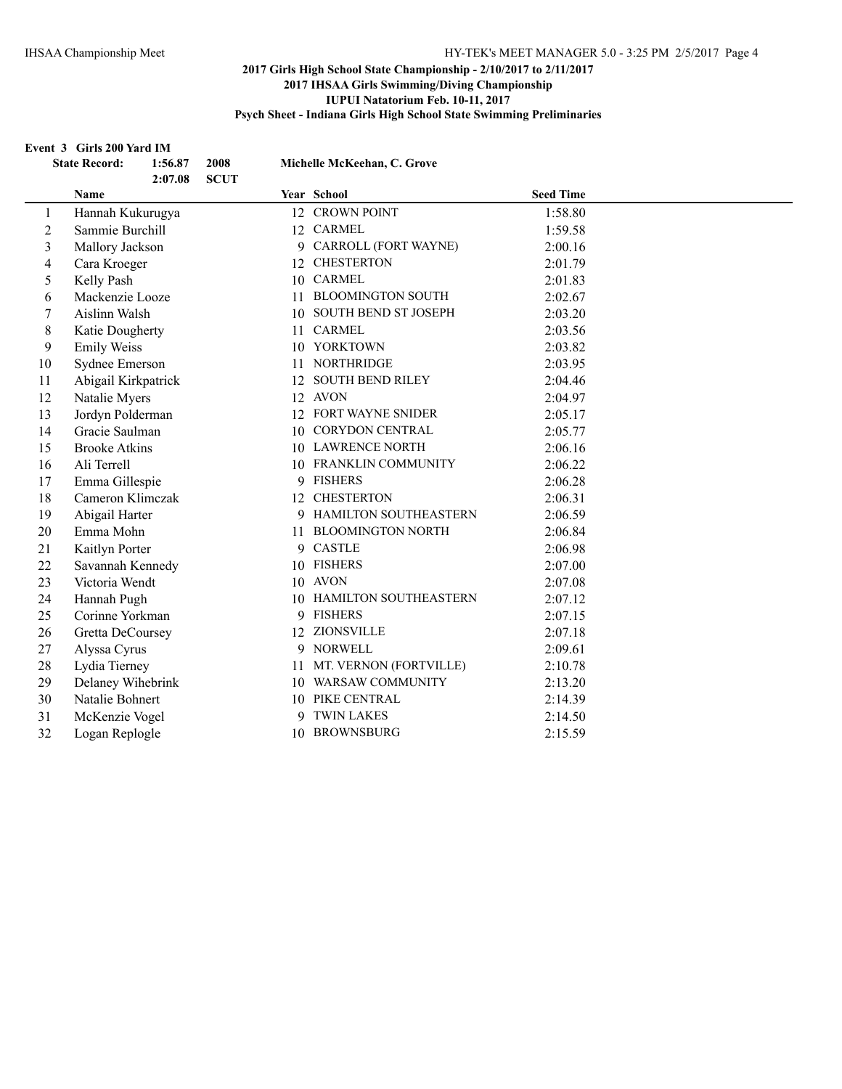#### **Event 3 Girls 200 Yard IM**

|                | <b>State Record:</b><br>1:56.87<br>2:07.08 | 2008<br><b>SCUT</b> |    | Michelle McKeehan, C. Grove |                  |  |
|----------------|--------------------------------------------|---------------------|----|-----------------------------|------------------|--|
|                | Name                                       |                     |    | Year School                 | <b>Seed Time</b> |  |
| 1              | Hannah Kukurugya                           |                     |    | 12 CROWN POINT              | 1:58.80          |  |
| $\overline{c}$ | Sammie Burchill                            |                     |    | 12 CARMEL                   | 1:59.58          |  |
| 3              | Mallory Jackson                            |                     |    | 9 CARROLL (FORT WAYNE)      | 2:00.16          |  |
| 4              | Cara Kroeger                               |                     |    | 12 CHESTERTON               | 2:01.79          |  |
| 5              | Kelly Pash                                 |                     |    | 10 CARMEL                   | 2:01.83          |  |
| 6              | Mackenzie Looze                            |                     |    | 11 BLOOMINGTON SOUTH        | 2:02.67          |  |
| 7              | Aislinn Walsh                              |                     |    | 10 SOUTH BEND ST JOSEPH     | 2:03.20          |  |
| 8              | Katie Dougherty                            |                     |    | 11 CARMEL                   | 2:03.56          |  |
| 9              | <b>Emily Weiss</b>                         |                     |    | 10 YORKTOWN                 | 2:03.82          |  |
| 10             | Sydnee Emerson                             |                     |    | 11 NORTHRIDGE               | 2:03.95          |  |
| 11             | Abigail Kirkpatrick                        |                     |    | 12 SOUTH BEND RILEY         | 2:04.46          |  |
| 12             | Natalie Myers                              |                     |    | 12 AVON                     | 2:04.97          |  |
| 13             | Jordyn Polderman                           |                     |    | 12 FORT WAYNE SNIDER        | 2:05.17          |  |
| 14             | Gracie Saulman                             |                     |    | 10 CORYDON CENTRAL          | 2:05.77          |  |
| 15             | <b>Brooke Atkins</b>                       |                     |    | 10 LAWRENCE NORTH           | 2:06.16          |  |
| 16             | Ali Terrell                                |                     |    | 10 FRANKLIN COMMUNITY       | 2:06.22          |  |
| 17             | Emma Gillespie                             |                     |    | 9 FISHERS                   | 2:06.28          |  |
| 18             | Cameron Klimczak                           |                     |    | 12 CHESTERTON               | 2:06.31          |  |
| 19             | Abigail Harter                             |                     |    | 9 HAMILTON SOUTHEASTERN     | 2:06.59          |  |
| 20             | Emma Mohn                                  |                     | 11 | <b>BLOOMINGTON NORTH</b>    | 2:06.84          |  |
| 21             | Kaitlyn Porter                             |                     | 9  | <b>CASTLE</b>               | 2:06.98          |  |
| 22             | Savannah Kennedy                           |                     |    | 10 FISHERS                  | 2:07.00          |  |
| 23             | Victoria Wendt                             |                     |    | 10 AVON                     | 2:07.08          |  |
| 24             | Hannah Pugh                                |                     |    | 10 HAMILTON SOUTHEASTERN    | 2:07.12          |  |
| 25             | Corinne Yorkman                            |                     |    | 9 FISHERS                   | 2:07.15          |  |
| 26             | Gretta DeCoursey                           |                     | 12 | ZIONSVILLE                  | 2:07.18          |  |
| 27             | Alyssa Cyrus                               |                     | 9  | <b>NORWELL</b>              | 2:09.61          |  |
| 28             | Lydia Tierney                              |                     |    | 11 MT. VERNON (FORTVILLE)   | 2:10.78          |  |
| 29             | Delaney Wihebrink                          |                     |    | 10 WARSAW COMMUNITY         | 2:13.20          |  |
| 30             | Natalie Bohnert                            |                     |    | 10 PIKE CENTRAL             | 2:14.39          |  |
| 31             | McKenzie Vogel                             |                     |    | 9 TWIN LAKES                | 2:14.50          |  |
| 32             | Logan Replogle                             |                     |    | 10 BROWNSBURG               | 2:15.59          |  |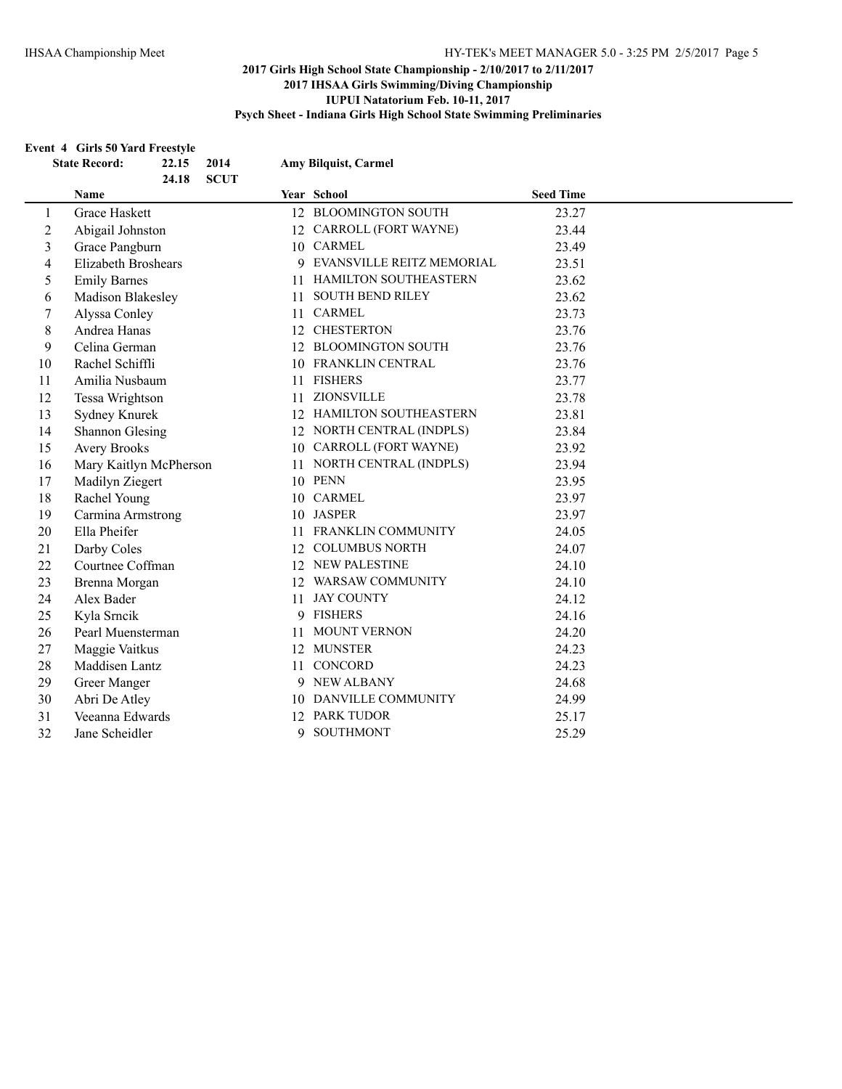#### **Event 4 Girls 50 Yard Freestyle**

|                          | 22.15<br><b>State Record:</b><br>2014<br>24.18<br><b>SCUT</b> |     | Amy Bilquist, Carmel        |                  |  |
|--------------------------|---------------------------------------------------------------|-----|-----------------------------|------------------|--|
|                          | Name                                                          |     | Year School                 | <b>Seed Time</b> |  |
| 1                        | Grace Haskett                                                 |     | 12 BLOOMINGTON SOUTH        | 23.27            |  |
| $\mathfrak{2}$           | Abigail Johnston                                              |     | 12 CARROLL (FORT WAYNE)     | 23.44            |  |
| 3                        | Grace Pangburn                                                |     | 10 CARMEL                   | 23.49            |  |
| $\overline{\mathcal{L}}$ | <b>Elizabeth Broshears</b>                                    |     | 9 EVANSVILLE REITZ MEMORIAL | 23.51            |  |
| 5                        | <b>Emily Barnes</b>                                           | 11. | HAMILTON SOUTHEASTERN       | 23.62            |  |
| 6                        | Madison Blakesley                                             |     | 11 SOUTH BEND RILEY         | 23.62            |  |
| 7                        | Alyssa Conley                                                 |     | 11 CARMEL                   | 23.73            |  |
| $\,8\,$                  | Andrea Hanas                                                  |     | 12 CHESTERTON               | 23.76            |  |
| 9                        | Celina German                                                 |     | 12 BLOOMINGTON SOUTH        | 23.76            |  |
| 10                       | Rachel Schiffli                                               |     | 10 FRANKLIN CENTRAL         | 23.76            |  |
| 11                       | Amilia Nusbaum                                                |     | 11 FISHERS                  | 23.77            |  |
| 12                       | Tessa Wrightson                                               | 11  | ZIONSVILLE                  | 23.78            |  |
| 13                       | Sydney Knurek                                                 |     | 12 HAMILTON SOUTHEASTERN    | 23.81            |  |
| 14                       | <b>Shannon Glesing</b>                                        |     | 12 NORTH CENTRAL (INDPLS)   | 23.84            |  |
| 15                       | <b>Avery Brooks</b>                                           |     | 10 CARROLL (FORT WAYNE)     | 23.92            |  |
| 16                       | Mary Kaitlyn McPherson                                        |     | 11 NORTH CENTRAL (INDPLS)   | 23.94            |  |
| 17                       | Madilyn Ziegert                                               |     | 10 PENN                     | 23.95            |  |
| 18                       | Rachel Young                                                  |     | 10 CARMEL                   | 23.97            |  |
| 19                       | Carmina Armstrong                                             |     | 10 JASPER                   | 23.97            |  |
| 20                       | Ella Pheifer                                                  | 11  | FRANKLIN COMMUNITY          | 24.05            |  |
| 21                       | Darby Coles                                                   |     | 12 COLUMBUS NORTH           | 24.07            |  |
| 22                       | Courtnee Coffman                                              |     | 12 NEW PALESTINE            | 24.10            |  |
| 23                       | Brenna Morgan                                                 |     | 12 WARSAW COMMUNITY         | 24.10            |  |
| 24                       | Alex Bader                                                    |     | 11 JAY COUNTY               | 24.12            |  |
| 25                       | Kyla Srncik                                                   |     | 9 FISHERS                   | 24.16            |  |
| 26                       | Pearl Muensterman                                             | 11  | <b>MOUNT VERNON</b>         | 24.20            |  |
| 27                       | Maggie Vaitkus                                                |     | 12 MUNSTER                  | 24.23            |  |
| 28                       | Maddisen Lantz                                                |     | 11 CONCORD                  | 24.23            |  |
| 29                       | Greer Manger                                                  |     | 9 NEW ALBANY                | 24.68            |  |
| 30                       | Abri De Atley                                                 |     | 10 DANVILLE COMMUNITY       | 24.99            |  |
| 31                       | Veeanna Edwards                                               |     | 12 PARK TUDOR               | 25.17            |  |
| 32                       | Jane Scheidler                                                | 9   | <b>SOUTHMONT</b>            | 25.29            |  |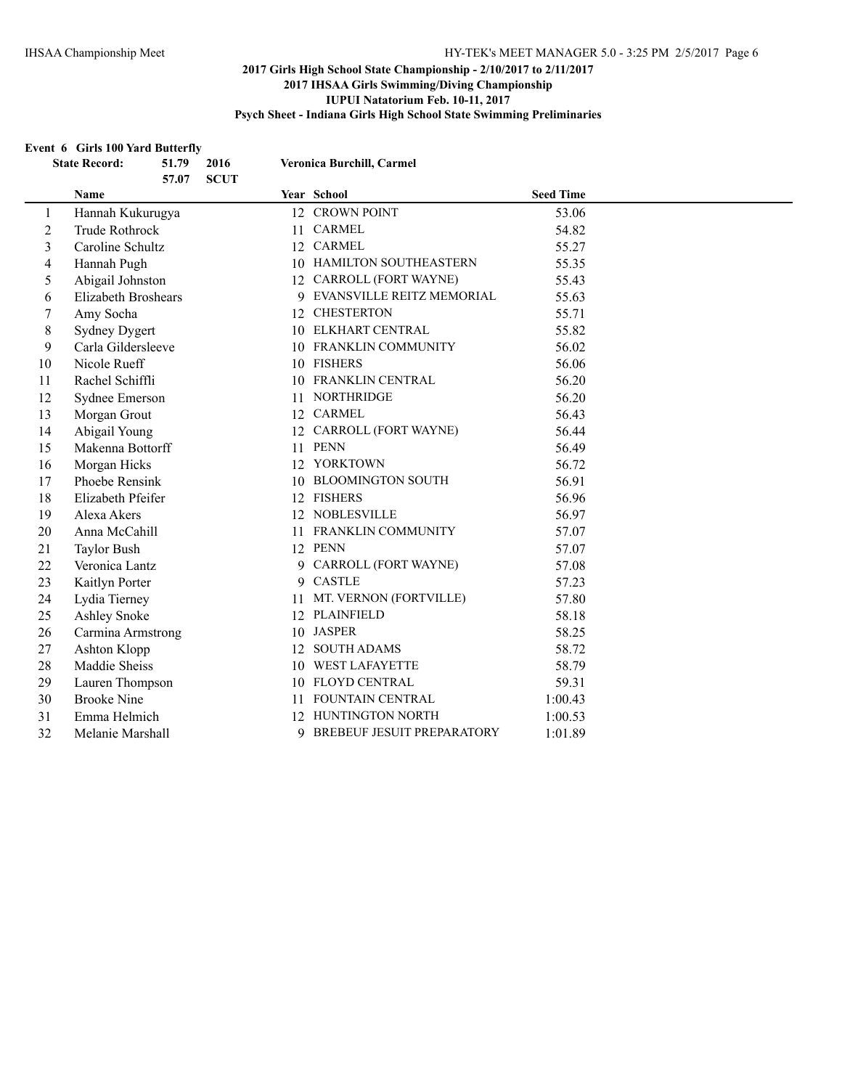#### **Event 6 Girls 100 Yard Butterfly**

|                | <b>State Record:</b>       | 51.79<br>57.07 | 2016<br><b>SCUT</b> |    | Veronica Burchill, Carmel    |                  |  |
|----------------|----------------------------|----------------|---------------------|----|------------------------------|------------------|--|
|                | Name                       |                |                     |    | Year School                  | <b>Seed Time</b> |  |
| 1              | Hannah Kukurugya           |                |                     |    | 12 CROWN POINT               | 53.06            |  |
| $\mathfrak{2}$ | <b>Trude Rothrock</b>      |                |                     |    | 11 CARMEL                    | 54.82            |  |
| 3              | Caroline Schultz           |                |                     |    | 12 CARMEL                    | 55.27            |  |
| 4              | Hannah Pugh                |                |                     |    | 10 HAMILTON SOUTHEASTERN     | 55.35            |  |
| 5              | Abigail Johnston           |                |                     |    | 12 CARROLL (FORT WAYNE)      | 55.43            |  |
| 6              | <b>Elizabeth Broshears</b> |                |                     |    | 9 EVANSVILLE REITZ MEMORIAL  | 55.63            |  |
| 7              | Amy Socha                  |                |                     |    | 12 CHESTERTON                | 55.71            |  |
| $\,8\,$        | <b>Sydney Dygert</b>       |                |                     |    | 10 ELKHART CENTRAL           | 55.82            |  |
| 9              | Carla Gildersleeve         |                |                     |    | 10 FRANKLIN COMMUNITY        | 56.02            |  |
| 10             | Nicole Rueff               |                |                     |    | 10 FISHERS                   | 56.06            |  |
| 11             | Rachel Schiffli            |                |                     |    | 10 FRANKLIN CENTRAL          | 56.20            |  |
| 12             | Sydnee Emerson             |                |                     |    | 11 NORTHRIDGE                | 56.20            |  |
| 13             | Morgan Grout               |                |                     |    | 12 CARMEL                    | 56.43            |  |
| 14             | Abigail Young              |                |                     |    | 12 CARROLL (FORT WAYNE)      | 56.44            |  |
| 15             | Makenna Bottorff           |                |                     | 11 | <b>PENN</b>                  | 56.49            |  |
| 16             | Morgan Hicks               |                |                     |    | 12 YORKTOWN                  | 56.72            |  |
| 17             | Phoebe Rensink             |                |                     |    | 10 BLOOMINGTON SOUTH         | 56.91            |  |
| 18             | Elizabeth Pfeifer          |                |                     |    | 12 FISHERS                   | 56.96            |  |
| 19             | Alexa Akers                |                |                     |    | 12 NOBLESVILLE               | 56.97            |  |
| 20             | Anna McCahill              |                |                     |    | 11 FRANKLIN COMMUNITY        | 57.07            |  |
| 21             | <b>Taylor Bush</b>         |                |                     |    | 12 PENN                      | 57.07            |  |
| 22             | Veronica Lantz             |                |                     | 9. | CARROLL (FORT WAYNE)         | 57.08            |  |
| 23             | Kaitlyn Porter             |                |                     | 9. | <b>CASTLE</b>                | 57.23            |  |
| 24             | Lydia Tierney              |                |                     |    | 11 MT. VERNON (FORTVILLE)    | 57.80            |  |
| 25             | <b>Ashley Snoke</b>        |                |                     |    | 12 PLAINFIELD                | 58.18            |  |
| 26             | Carmina Armstrong          |                |                     |    | 10 JASPER                    | 58.25            |  |
| 27             | Ashton Klopp               |                |                     |    | 12 SOUTH ADAMS               | 58.72            |  |
| 28             | Maddie Sheiss              |                |                     | 10 | <b>WEST LAFAYETTE</b>        | 58.79            |  |
| 29             | Lauren Thompson            |                |                     |    | 10 FLOYD CENTRAL             | 59.31            |  |
| 30             | <b>Brooke Nine</b>         |                |                     |    | 11 FOUNTAIN CENTRAL          | 1:00.43          |  |
| 31             | Emma Helmich               |                |                     |    | 12 HUNTINGTON NORTH          | 1:00.53          |  |
| 32             | Melanie Marshall           |                |                     |    | 9 BREBEUF JESUIT PREPARATORY | 1:01.89          |  |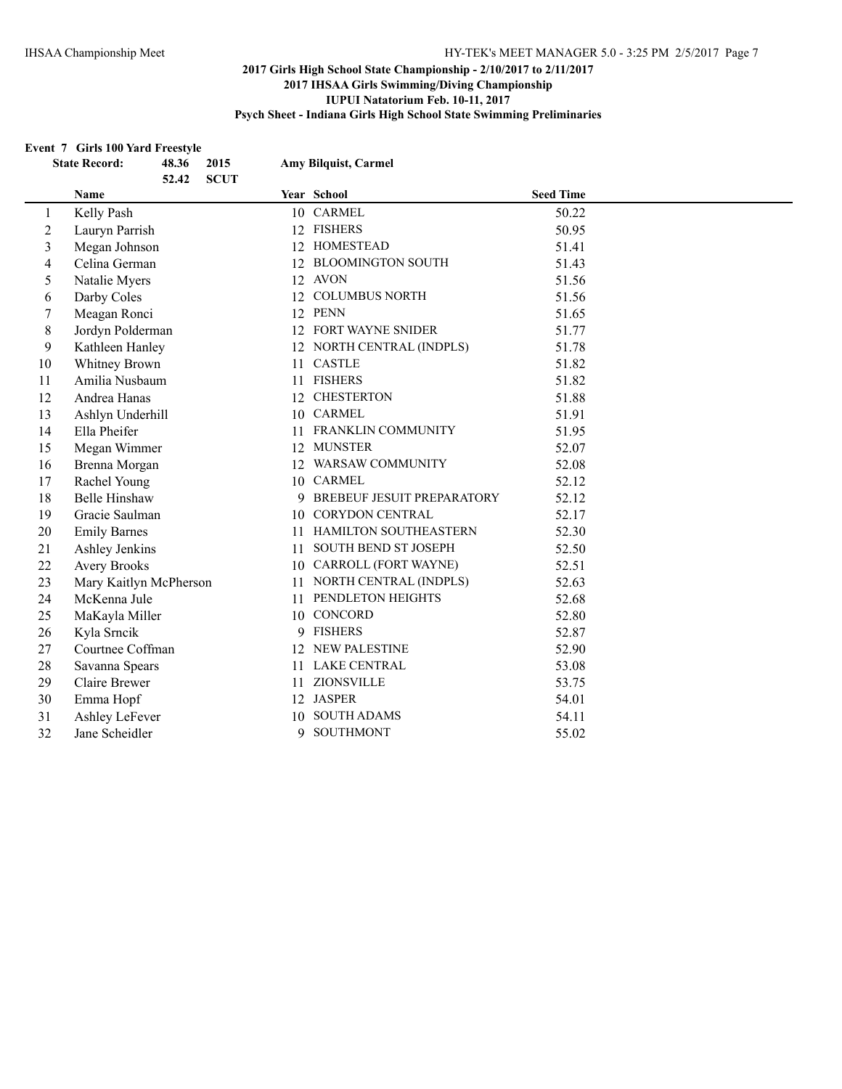#### **Event 7 Girls 100 Yard Freestyle**

|                | <b>State Record:</b>   | 48.36<br>52.42 | 2015<br><b>SCUT</b> |    | <b>Amy Bilquist, Carmel</b>  |                  |  |
|----------------|------------------------|----------------|---------------------|----|------------------------------|------------------|--|
|                | Name                   |                |                     |    | Year School                  | <b>Seed Time</b> |  |
| 1              | Kelly Pash             |                |                     |    | 10 CARMEL                    | 50.22            |  |
| $\mathfrak{2}$ | Lauryn Parrish         |                |                     |    | 12 FISHERS                   | 50.95            |  |
| $\mathfrak{Z}$ | Megan Johnson          |                |                     |    | 12 HOMESTEAD                 | 51.41            |  |
| $\overline{4}$ | Celina German          |                |                     | 12 | <b>BLOOMINGTON SOUTH</b>     | 51.43            |  |
| 5              | Natalie Myers          |                |                     |    | 12 AVON                      | 51.56            |  |
| 6              | Darby Coles            |                |                     | 12 | <b>COLUMBUS NORTH</b>        | 51.56            |  |
| 7              | Meagan Ronci           |                |                     |    | 12 PENN                      | 51.65            |  |
| 8              | Jordyn Polderman       |                |                     |    | 12 FORT WAYNE SNIDER         | 51.77            |  |
| 9              | Kathleen Hanley        |                |                     |    | 12 NORTH CENTRAL (INDPLS)    | 51.78            |  |
| 10             | Whitney Brown          |                |                     |    | 11 CASTLE                    | 51.82            |  |
| 11             | Amilia Nusbaum         |                |                     | 11 | <b>FISHERS</b>               | 51.82            |  |
| 12             | Andrea Hanas           |                |                     | 12 | <b>CHESTERTON</b>            | 51.88            |  |
| 13             | Ashlyn Underhill       |                |                     |    | 10 CARMEL                    | 51.91            |  |
| 14             | Ella Pheifer           |                |                     |    | 11 FRANKLIN COMMUNITY        | 51.95            |  |
| 15             | Megan Wimmer           |                |                     |    | 12 MUNSTER                   | 52.07            |  |
| 16             | Brenna Morgan          |                |                     |    | 12 WARSAW COMMUNITY          | 52.08            |  |
| 17             | Rachel Young           |                |                     |    | 10 CARMEL                    | 52.12            |  |
| 18             | <b>Belle Hinshaw</b>   |                |                     |    | 9 BREBEUF JESUIT PREPARATORY | 52.12            |  |
| 19             | Gracie Saulman         |                |                     |    | 10 CORYDON CENTRAL           | 52.17            |  |
| 20             | <b>Emily Barnes</b>    |                |                     | 11 | HAMILTON SOUTHEASTERN        | 52.30            |  |
| 21             | Ashley Jenkins         |                |                     | 11 | SOUTH BEND ST JOSEPH         | 52.50            |  |
| 22             | <b>Avery Brooks</b>    |                |                     |    | 10 CARROLL (FORT WAYNE)      | 52.51            |  |
| 23             | Mary Kaitlyn McPherson |                |                     | 11 | NORTH CENTRAL (INDPLS)       | 52.63            |  |
| 24             | McKenna Jule           |                |                     | 11 | PENDLETON HEIGHTS            | 52.68            |  |
| 25             | MaKayla Miller         |                |                     |    | 10 CONCORD                   | 52.80            |  |
| 26             | Kyla Srncik            |                |                     |    | 9 FISHERS                    | 52.87            |  |
| 27             | Courtnee Coffman       |                |                     | 12 | <b>NEW PALESTINE</b>         | 52.90            |  |
| 28             | Savanna Spears         |                |                     | 11 | LAKE CENTRAL                 | 53.08            |  |
| 29             | Claire Brewer          |                |                     |    | 11 ZIONSVILLE                | 53.75            |  |
| 30             | Emma Hopf              |                |                     |    | 12 JASPER                    | 54.01            |  |
| 31             | Ashley LeFever         |                |                     | 10 | <b>SOUTH ADAMS</b>           | 54.11            |  |
| 32             | Jane Scheidler         |                |                     | 9  | <b>SOUTHMONT</b>             | 55.02            |  |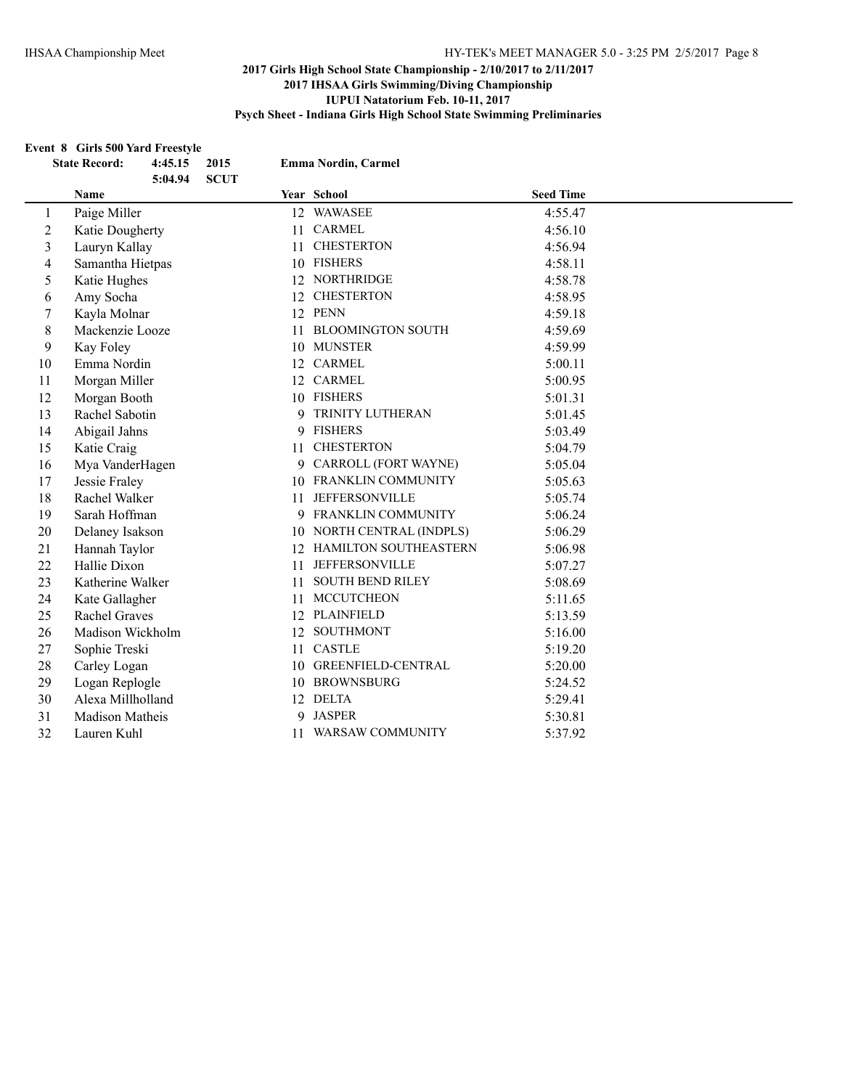#### **Event 8 Girls 500 Yard Freestyle**

|                         | <b>State Record:</b> | 4:45.15 | 2015        |    | <b>Emma Nordin, Carmel</b>   |                  |
|-------------------------|----------------------|---------|-------------|----|------------------------------|------------------|
|                         | Name                 | 5:04.94 | <b>SCUT</b> |    | <b>Year School</b>           | <b>Seed Time</b> |
| $\mathbf{1}$            | Paige Miller         |         |             |    | 12 WAWASEE                   | 4:55.47          |
| $\mathbf{2}$            | Katie Dougherty      |         |             |    | 11 CARMEL                    | 4:56.10          |
| 3                       | Lauryn Kallay        |         |             | 11 | <b>CHESTERTON</b>            | 4:56.94          |
| $\overline{\mathbf{4}}$ | Samantha Hietpas     |         |             |    | 10 FISHERS                   | 4:58.11          |
| 5                       | Katie Hughes         |         |             |    | 12 NORTHRIDGE                | 4:58.78          |
| 6                       | Amy Socha            |         |             |    | 12 CHESTERTON                | 4:58.95          |
| 7                       | Kayla Molnar         |         |             |    | 12 PENN                      | 4:59.18          |
| 8                       | Mackenzie Looze      |         |             | 11 | <b>BLOOMINGTON SOUTH</b>     | 4:59.69          |
| 9                       | Kay Foley            |         |             |    | 10 MUNSTER                   | 4:59.99          |
| 10                      | Emma Nordin          |         |             |    | 12 CARMEL                    | 5:00.11          |
| 11                      | Morgan Miller        |         |             |    | 12 CARMEL                    | 5:00.95          |
| 12                      | Morgan Booth         |         |             |    | 10 FISHERS                   | 5:01.31          |
| 13                      | Rachel Sabotin       |         |             |    | 9 TRINITY LUTHERAN           | 5:01.45          |
| 14                      | Abigail Jahns        |         |             | 9  | <b>FISHERS</b>               | 5:03.49          |
| 15                      | Katie Craig          |         |             | 11 | <b>CHESTERTON</b>            | 5:04.79          |
| 16                      | Mya VanderHagen      |         |             | 9  | CARROLL (FORT WAYNE)         | 5:05.04          |
| 17                      | Jessie Fraley        |         |             |    | 10 FRANKLIN COMMUNITY        | 5:05.63          |
| 18                      | Rachel Walker        |         |             | 11 | <b>JEFFERSONVILLE</b>        | 5:05.74          |
| 19                      | Sarah Hoffman        |         |             |    | 9 FRANKLIN COMMUNITY         | 5:06.24          |
| 20                      | Delaney Isakson      |         |             |    | 10 NORTH CENTRAL (INDPLS)    | 5:06.29          |
| 21                      | Hannah Taylor        |         |             | 12 | <b>HAMILTON SOUTHEASTERN</b> | 5:06.98          |
| 22                      | Hallie Dixon         |         |             | 11 | <b>JEFFERSONVILLE</b>        | 5:07.27          |
| 23                      | Katherine Walker     |         |             | 11 | <b>SOUTH BEND RILEY</b>      | 5:08.69          |
| 24                      | Kate Gallagher       |         |             | 11 | <b>MCCUTCHEON</b>            | 5:11.65          |
| 25                      | <b>Rachel Graves</b> |         |             |    | 12 PLAINFIELD                | 5:13.59          |
| 26                      | Madison Wickholm     |         |             |    | 12 SOUTHMONT                 | 5:16.00          |
| 27                      | Sophie Treski        |         |             | 11 | <b>CASTLE</b>                | 5:19.20          |
| 28                      | Carley Logan         |         |             |    | 10 GREENFIELD-CENTRAL        | 5:20.00          |
| 29                      | Logan Replogle       |         |             |    | 10 BROWNSBURG                | 5:24.52          |
| 30                      | Alexa Millholland    |         |             |    | 12 DELTA                     | 5:29.41          |
| 31                      | Madison Matheis      |         |             | 9  | <b>JASPER</b>                | 5:30.81          |
| 32                      | Lauren Kuhl          |         |             | 11 | <b>WARSAW COMMUNITY</b>      | 5:37.92          |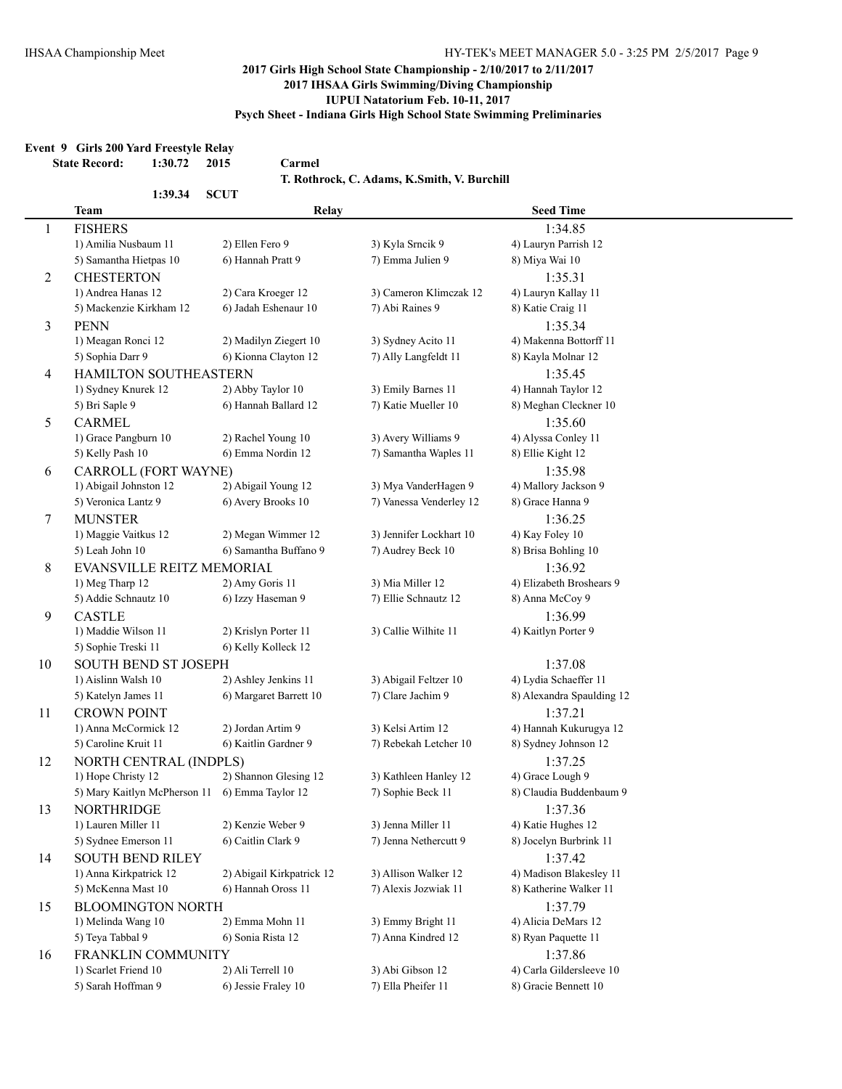#### **Event 9 Girls 200 Yard Freestyle Relay**

**State Record: 1:30.72 2015 Carmel**

**T. Rothrock, C. Adams, K.Smith, V. Burchill**

|                | 1:39.34                      | <b>SCUT</b>               |                         |                           |  |
|----------------|------------------------------|---------------------------|-------------------------|---------------------------|--|
|                | <b>Team</b>                  | Relay                     |                         | <b>Seed Time</b>          |  |
| 1              | <b>FISHERS</b>               |                           |                         | 1:34.85                   |  |
|                | 1) Amilia Nusbaum 11         | 2) Ellen Fero 9           | 3) Kyla Srncik 9        | 4) Lauryn Parrish 12      |  |
|                | 5) Samantha Hietpas 10       | 6) Hannah Pratt 9         | 7) Emma Julien 9        | 8) Miya Wai 10            |  |
| $\overline{2}$ | <b>CHESTERTON</b>            |                           |                         | 1:35.31                   |  |
|                | 1) Andrea Hanas 12           | 2) Cara Kroeger 12        | 3) Cameron Klimczak 12  | 4) Lauryn Kallay 11       |  |
|                | 5) Mackenzie Kirkham 12      | 6) Jadah Eshenaur 10      | 7) Abi Raines 9         | 8) Katie Craig 11         |  |
| $\overline{3}$ | <b>PENN</b>                  |                           |                         | 1:35.34                   |  |
|                | 1) Meagan Ronci 12           | 2) Madilyn Ziegert 10     | 3) Sydney Acito 11      | 4) Makenna Bottorff 11    |  |
|                | 5) Sophia Darr 9             | 6) Kionna Clayton 12      | 7) Ally Langfeldt 11    | 8) Kayla Molnar 12        |  |
| 4              | HAMILTON SOUTHEASTERN        |                           |                         | 1:35.45                   |  |
|                | 1) Sydney Knurek 12          | 2) Abby Taylor 10         | 3) Emily Barnes 11      | 4) Hannah Taylor 12       |  |
|                | 5) Bri Saple 9               | 6) Hannah Ballard 12      | 7) Katie Mueller 10     | 8) Meghan Cleckner 10     |  |
| 5              | <b>CARMEL</b>                |                           |                         | 1:35.60                   |  |
|                | 1) Grace Pangburn 10         | 2) Rachel Young 10        | 3) Avery Williams 9     | 4) Alyssa Conley 11       |  |
|                | 5) Kelly Pash 10             | 6) Emma Nordin 12         | 7) Samantha Waples 11   | 8) Ellie Kight 12         |  |
| 6              | CARROLL (FORT WAYNE)         |                           |                         | 1:35.98                   |  |
|                | 1) Abigail Johnston 12       | 2) Abigail Young 12       | 3) Mya VanderHagen 9    | 4) Mallory Jackson 9      |  |
|                | 5) Veronica Lantz 9          | 6) Avery Brooks 10        | 7) Vanessa Venderley 12 | 8) Grace Hanna 9          |  |
| 7              | <b>MUNSTER</b>               |                           |                         | 1:36.25                   |  |
|                | 1) Maggie Vaitkus 12         | 2) Megan Wimmer 12        | 3) Jennifer Lockhart 10 | 4) Kay Foley 10           |  |
|                | 5) Leah John 10              | 6) Samantha Buffano 9     | 7) Audrey Beck 10       | 8) Brisa Bohling 10       |  |
| 8              | EVANSVILLE REITZ MEMORIAL    |                           |                         | 1:36.92                   |  |
|                | 1) Meg Tharp 12              | 2) Amy Goris 11           | 3) Mia Miller 12        | 4) Elizabeth Broshears 9  |  |
|                | 5) Addie Schnautz 10         | 6) Izzy Haseman 9         | 7) Ellie Schnautz 12    | 8) Anna McCoy 9           |  |
| 9              | <b>CASTLE</b>                |                           |                         | 1:36.99                   |  |
|                | 1) Maddie Wilson 11          | 2) Krislyn Porter 11      | 3) Callie Wilhite 11    | 4) Kaitlyn Porter 9       |  |
|                | 5) Sophie Treski 11          | 6) Kelly Kolleck 12       |                         |                           |  |
| 10             | SOUTH BEND ST JOSEPH         |                           |                         | 1:37.08                   |  |
|                | 1) Aislinn Walsh 10          | 2) Ashley Jenkins 11      | 3) Abigail Feltzer 10   | 4) Lydia Schaeffer 11     |  |
|                | 5) Katelyn James 11          | 6) Margaret Barrett 10    | 7) Clare Jachim 9       | 8) Alexandra Spaulding 12 |  |
| 11             | <b>CROWN POINT</b>           |                           |                         | 1:37.21                   |  |
|                | 1) Anna McCormick 12         | 2) Jordan Artim 9         | 3) Kelsi Artim 12       | 4) Hannah Kukurugya 12    |  |
|                | 5) Caroline Kruit 11         | 6) Kaitlin Gardner 9      | 7) Rebekah Letcher 10   | 8) Sydney Johnson 12      |  |
| 12             | NORTH CENTRAL (INDPLS)       |                           |                         | 1:37.25                   |  |
|                | 1) Hope Christy 12           | 2) Shannon Glesing 12     | 3) Kathleen Hanley 12   | 4) Grace Lough 9          |  |
|                | 5) Mary Kaitlyn McPherson 11 | 6) Emma Taylor 12         | 7) Sophie Beck 11       | 8) Claudia Buddenbaum 9   |  |
| 13             | <b>NORTHRIDGE</b>            |                           |                         | 1:37.36                   |  |
|                | 1) Lauren Miller 11          | 2) Kenzie Weber 9         | 3) Jenna Miller 11      | 4) Katie Hughes 12        |  |
|                | 5) Sydnee Emerson 11         | 6) Caitlin Clark 9        | 7) Jenna Nethercutt 9   | 8) Jocelyn Burbrink 11    |  |
| 14             | <b>SOUTH BEND RILEY</b>      |                           |                         | 1:37.42                   |  |
|                | 1) Anna Kirkpatrick 12       | 2) Abigail Kirkpatrick 12 | 3) Allison Walker 12    | 4) Madison Blakesley 11   |  |
|                | 5) McKenna Mast 10           | 6) Hannah Oross 11        | 7) Alexis Jozwiak 11    | 8) Katherine Walker 11    |  |
| 15             | <b>BLOOMINGTON NORTH</b>     |                           |                         | 1:37.79                   |  |
|                | 1) Melinda Wang 10           | 2) Emma Mohn 11           | 3) Emmy Bright 11       | 4) Alicia DeMars 12       |  |
|                | 5) Teya Tabbal 9             | 6) Sonia Rista 12         | 7) Anna Kindred 12      | 8) Ryan Paquette 11       |  |
| 16             | FRANKLIN COMMUNITY           |                           |                         | 1:37.86                   |  |
|                | 1) Scarlet Friend 10         | 2) Ali Terrell 10         | 3) Abi Gibson 12        | 4) Carla Gildersleeve 10  |  |
|                | 5) Sarah Hoffman 9           | 6) Jessie Fraley 10       | 7) Ella Pheifer 11      | 8) Gracie Bennett 10      |  |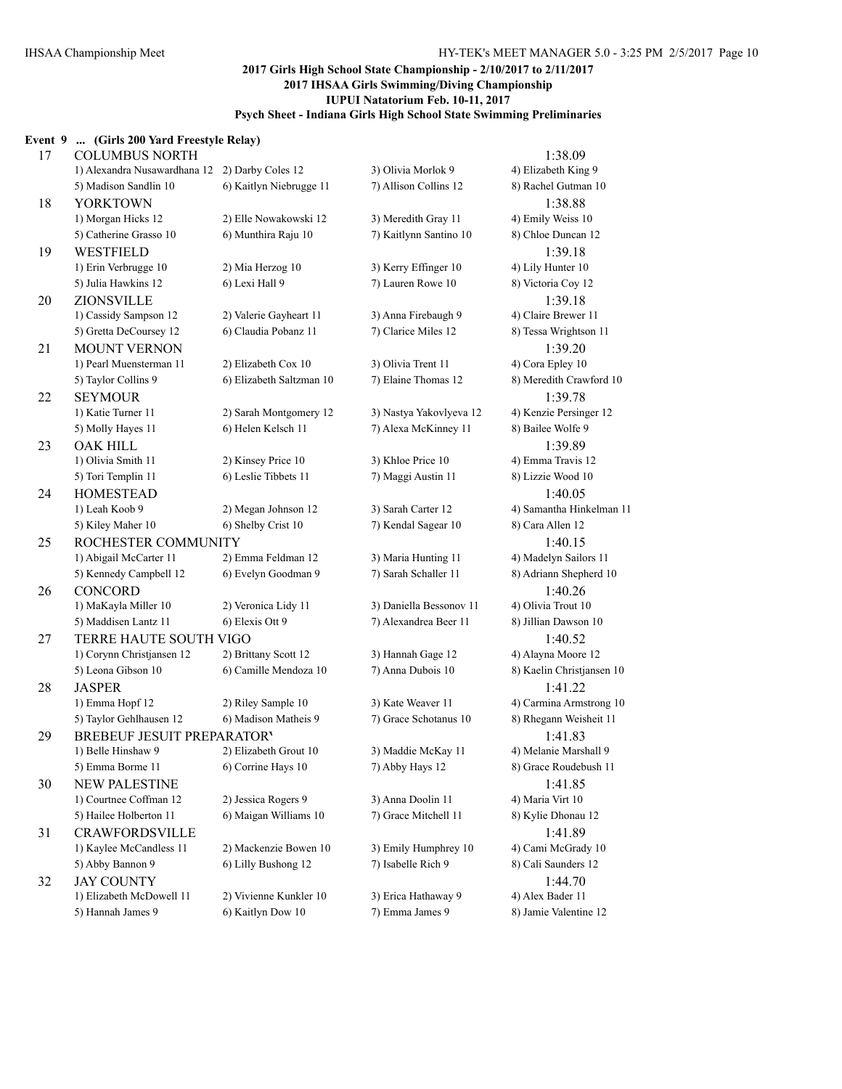## **Event 9 ... (Girls 200 Yard Freestyle Relay)** 17 COLUMBUS NORTH 1:38.09 1) Alexandra Nusawardhana 12 2) Darby Coles 12 3) Olivia Morlok 9 4) Elizabeth King 9 5) Madison Sandlin 10 6) Kaitlyn Niebrugge 11 7) Allison Collins 12 8) Rachel Gutman 10 18 YORKTOWN 1:38.88 1) Morgan Hicks 12 2) Elle Nowakowski 12 3) Meredith Gray 11 4) Emily Weiss 10 5) Catherine Grasso 10 6) Munthira Raju 10 7) Kaitlynn Santino 10 8) Chloe Duncan 12 19 WESTFIELD 1:39.18 1) Erin Verbrugge 10 2) Mia Herzog 10 3) Kerry Effinger 10 4) Lily Hunter 10 5) Julia Hawkins 12 6) Lexi Hall 9 7) Lauren Rowe 10 8) Victoria Coy 12 20 ZIONSVILLE 1:39.18 1) Cassidy Sampson 12 2) Valerie Gayheart 11 3) Anna Firebaugh 9 4) Claire Brewer 11 5) Gretta DeCoursey 12 6) Claudia Pobanz 11 7) Clarice Miles 12 8) Tessa Wrightson 11 21 MOUNT VERNON 1:39.20 1) Pearl Muensterman 11 2) Elizabeth Cox 10 3) Olivia Trent 11 4) Cora Epley 10 5) Taylor Collins 9 6) Elizabeth Saltzman 10 7) Elaine Thomas 12 8) Meredith Crawford 10 22 SEYMOUR 1:39.78 1) Katie Turner 11 2) Sarah Montgomery 12 3) Nastya Yakovlyeva 12 4) Kenzie Persinger 12 5) Molly Hayes 11 6) Helen Kelsch 11 7) Alexa McKinney 11 8) Bailee Wolfe 9 23 OAK HILL 1:39.89 1) Olivia Smith 11 2) Kinsey Price 10 3) Khloe Price 10 4) Emma Travis 12 5) Tori Templin 11 6) Leslie Tibbets 11 7) Maggi Austin 11 8) Lizzie Wood 10 24 HOMESTEAD 1:40.05 1) Leah Koob 9 2) Megan Johnson 12 3) Sarah Carter 12 4) Samantha Hinkelman 11 5) Kiley Maher 10 6) Shelby Crist 10 7) Kendal Sagear 10 8) Cara Allen 12 25 ROCHESTER COMMUNITY 1:40.15 1) Abigail McCarter 11 2) Emma Feldman 12 3) Maria Hunting 11 4) Madelyn Sailors 11 5) Kennedy Campbell 12 6) Evelyn Goodman 9 7) Sarah Schaller 11 8) Adriann Shepherd 10 26 CONCORD 1:40.26 1) MaKayla Miller 10 2) Veronica Lidy 11 3) Daniella Bessonov 11 4) Olivia Trout 10 5) Maddisen Lantz 11 6) Elexis Ott 9 7) Alexandrea Beer 11 8) Jillian Dawson 10 27 TERRE HAUTE SOUTH VIGO 1:40.52 1) Corynn Christjansen 12 2) Brittany Scott 12 3) Hannah Gage 12 4) Alayna Moore 12 5) Leona Gibson 10 6) Camille Mendoza 10 7) Anna Dubois 10 8) Kaelin Christjansen 10 28 JASPER 1:41.22 1) Emma Hopf 12 2) Riley Sample 10 3) Kate Weaver 11 4) Carmina Armstrong 10 5) Taylor Gehlhausen 12 6) Madison Matheis 9 7) Grace Schotanus 10 8) Rhegann Weisheit 11 29 BREBEUF JESUIT PREPARATORY 1:41.83 1) Belle Hinshaw 9 2) Elizabeth Grout 10 3) Maddie McKay 11 4) Melanie Marshall 9 5) Emma Borme 11 6) Corrine Hays 10 7) Abby Hays 12 8) Grace Roudebush 11 30 NEW PALESTINE 1:41.85 1) Courtnee Coffman 12 2) Jessica Rogers 9 3) Anna Doolin 11 4) Maria Virt 10 5) Hailee Holberton 11 6) Maigan Williams 10 7) Grace Mitchell 11 8) Kylie Dhonau 12 31 CRAWFORDSVILLE 1:41.89 1) Kaylee McCandless 11 2) Mackenzie Bowen 10 3) Emily Humphrey 10 4) Cami McGrady 10 5) Abby Bannon 9 6) Lilly Bushong 12 7) Isabelle Rich 9 8) Cali Saunders 12 32 JAY COUNTY 1:44.70 1) Elizabeth McDowell 11 2) Vivienne Kunkler 10 3) Erica Hathaway 9 4) Alex Bader 11 5) Hannah James 9 6) Kaitlyn Dow 10 7) Emma James 9 8) Jamie Valentine 12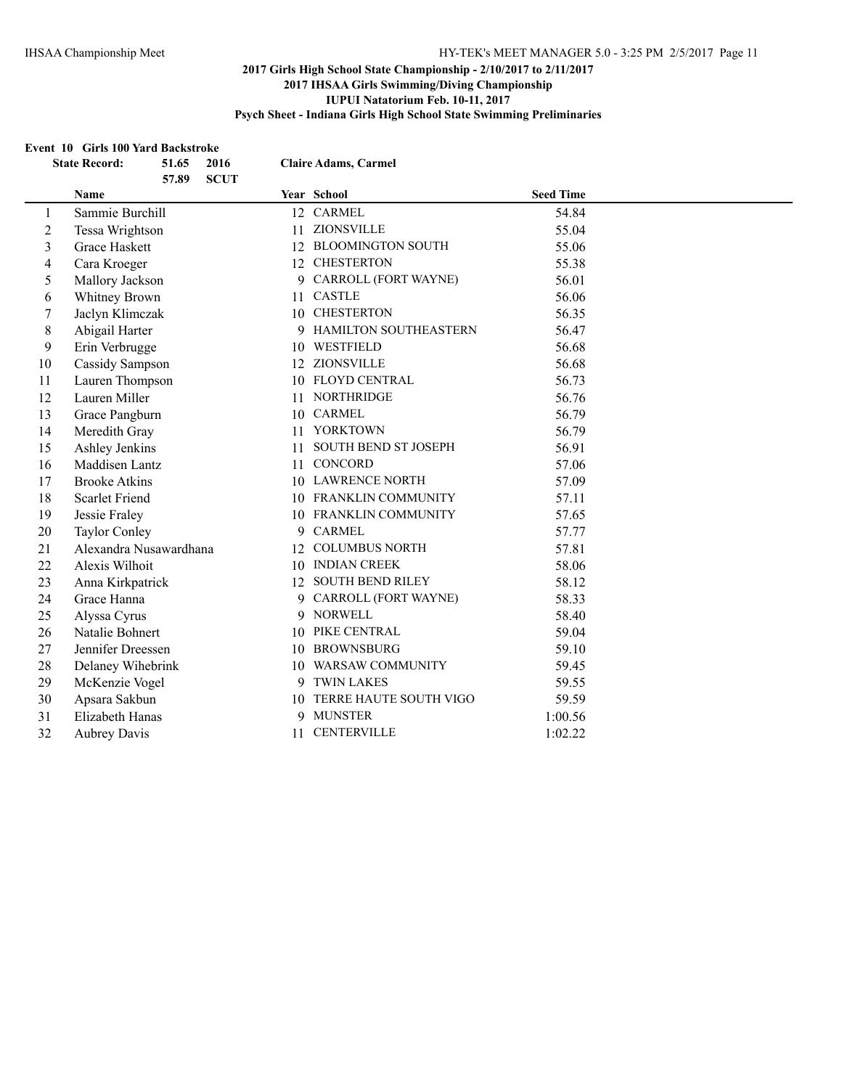#### **Event 10 Girls 100 Yard Backstroke**

|                         | <b>State Record:</b><br>51.65<br>2016<br>57.89<br><b>SCUT</b> | <b>Claire Adams, Carmel</b>    |                  |
|-------------------------|---------------------------------------------------------------|--------------------------------|------------------|
|                         | Name                                                          | Year School                    | <b>Seed Time</b> |
| 1                       | Sammie Burchill                                               | 12 CARMEL                      | 54.84            |
| 2                       | Tessa Wrightson                                               | ZIONSVILLE<br>11               | 55.04            |
| $\overline{\mathbf{3}}$ | Grace Haskett                                                 | <b>BLOOMINGTON SOUTH</b><br>12 | 55.06            |
| 4                       | Cara Kroeger                                                  | 12 CHESTERTON                  | 55.38            |
| 5                       | Mallory Jackson                                               | CARROLL (FORT WAYNE)<br>9.     | 56.01            |
| 6                       | Whitney Brown                                                 | 11 CASTLE                      | 56.06            |
| 7                       | Jaclyn Klimczak                                               | 10 CHESTERTON                  | 56.35            |
| 8                       | Abigail Harter                                                | 9 HAMILTON SOUTHEASTERN        | 56.47            |
| 9                       | Erin Verbrugge                                                | 10 WESTFIELD                   | 56.68            |
| 10                      | Cassidy Sampson                                               | 12 ZIONSVILLE                  | 56.68            |
| 11                      | Lauren Thompson                                               | 10 FLOYD CENTRAL               | 56.73            |
| 12                      | Lauren Miller                                                 | 11 NORTHRIDGE                  | 56.76            |
| 13                      | Grace Pangburn                                                | 10 CARMEL                      | 56.79            |
| 14                      | Meredith Gray                                                 | 11 YORKTOWN                    | 56.79            |
| 15                      | Ashley Jenkins                                                | SOUTH BEND ST JOSEPH<br>11     | 56.91            |
| 16                      | Maddisen Lantz                                                | 11 CONCORD                     | 57.06            |
| 17                      | <b>Brooke Atkins</b>                                          | 10 LAWRENCE NORTH              | 57.09            |
| 18                      | <b>Scarlet Friend</b>                                         | 10 FRANKLIN COMMUNITY          | 57.11            |
| 19                      | Jessie Fraley                                                 | 10 FRANKLIN COMMUNITY          | 57.65            |
| 20                      | <b>Taylor Conley</b>                                          | <b>CARMEL</b><br>9             | 57.77            |
| 21                      | Alexandra Nusawardhana                                        | 12 COLUMBUS NORTH              | 57.81            |
| 22                      | Alexis Wilhoit                                                | 10 INDIAN CREEK                | 58.06            |
| 23                      | Anna Kirkpatrick                                              | 12 SOUTH BEND RILEY            | 58.12            |
| 24                      | Grace Hanna                                                   | CARROLL (FORT WAYNE)<br>9      | 58.33            |
| 25                      | Alyssa Cyrus                                                  | <b>NORWELL</b><br>9            | 58.40            |
| 26                      | Natalie Bohnert                                               | PIKE CENTRAL<br>10             | 59.04            |
| 27                      | Jennifer Dreessen                                             | 10 BROWNSBURG                  | 59.10            |
| 28                      | Delaney Wihebrink                                             | 10 WARSAW COMMUNITY            | 59.45            |
| 29                      | McKenzie Vogel                                                | 9 TWIN LAKES                   | 59.55            |
| 30                      | Apsara Sakbun                                                 | TERRE HAUTE SOUTH VIGO<br>10   | 59.59            |
| 31                      | Elizabeth Hanas                                               | 9 MUNSTER                      | 1:00.56          |
| 32                      | <b>Aubrey Davis</b>                                           | 11 CENTERVILLE                 | 1:02.22          |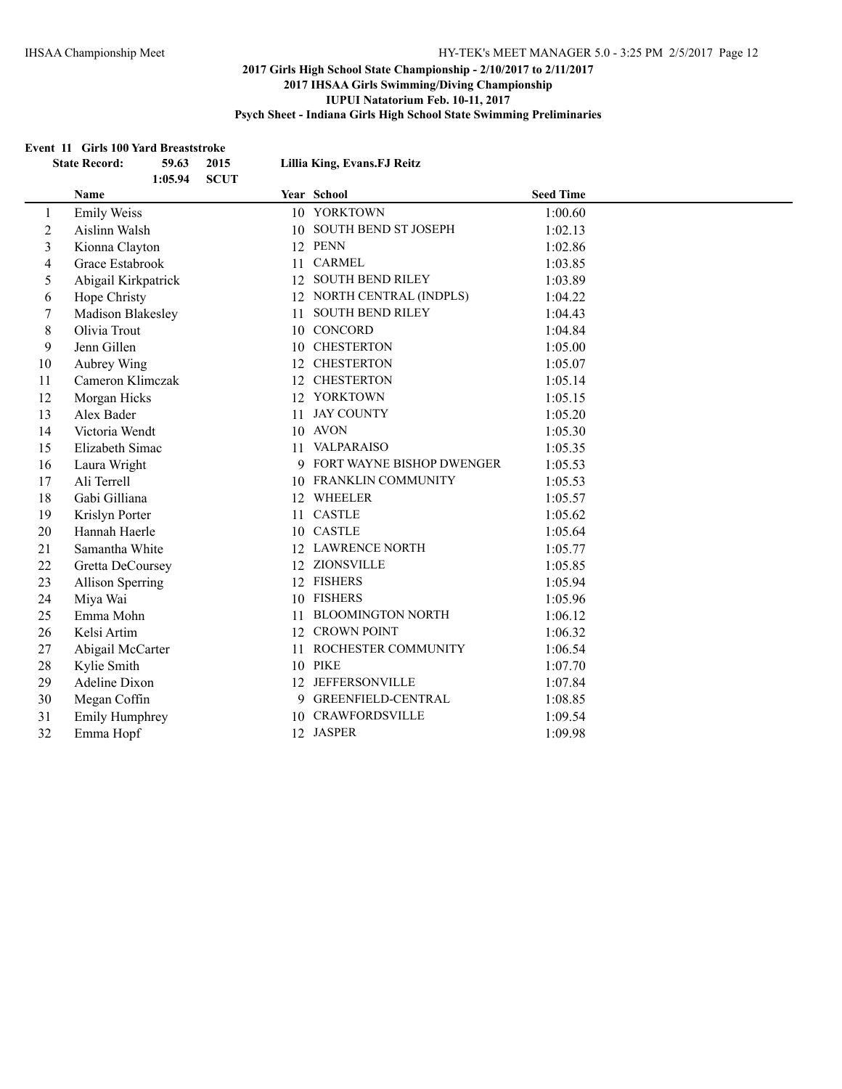#### **Event 11 Girls 100 Yard Breaststroke**

|                | <b>State Record:</b>    | 59.63   | 2015        |    | Lillia King, Evans.FJ Reitz |                  |
|----------------|-------------------------|---------|-------------|----|-----------------------------|------------------|
|                | <b>Name</b>             | 1:05.94 | <b>SCUT</b> |    | Year School                 | <b>Seed Time</b> |
|                |                         |         |             |    | 10 YORKTOWN                 |                  |
| $\mathbf{1}$   | <b>Emily Weiss</b>      |         |             |    |                             | 1:00.60          |
| $\overline{2}$ | Aislinn Walsh           |         |             |    | 10 SOUTH BEND ST JOSEPH     | 1:02.13          |
| 3              | Kionna Clayton          |         |             |    | 12 PENN                     | 1:02.86          |
| 4              | Grace Estabrook         |         |             |    | 11 CARMEL                   | 1:03.85          |
| 5              | Abigail Kirkpatrick     |         |             |    | 12 SOUTH BEND RILEY         | 1:03.89          |
| 6              | Hope Christy            |         |             |    | 12 NORTH CENTRAL (INDPLS)   | 1:04.22          |
| 7              | Madison Blakesley       |         |             |    | 11 SOUTH BEND RILEY         | 1:04.43          |
| 8              | Olivia Trout            |         |             |    | 10 CONCORD                  | 1:04.84          |
| 9              | Jenn Gillen             |         |             |    | 10 CHESTERTON               | 1:05.00          |
| 10             | Aubrey Wing             |         |             |    | 12 CHESTERTON               | 1:05.07          |
| 11             | Cameron Klimczak        |         |             |    | 12 CHESTERTON               | 1:05.14          |
| 12             | Morgan Hicks            |         |             |    | 12 YORKTOWN                 | 1:05.15          |
| 13             | Alex Bader              |         |             | 11 | <b>JAY COUNTY</b>           | 1:05.20          |
| 14             | Victoria Wendt          |         |             |    | 10 AVON                     | 1:05.30          |
| 15             | Elizabeth Simac         |         |             | 11 | <b>VALPARAISO</b>           | 1:05.35          |
| 16             | Laura Wright            |         |             |    | 9 FORT WAYNE BISHOP DWENGER | 1:05.53          |
| 17             | Ali Terrell             |         |             |    | 10 FRANKLIN COMMUNITY       | 1:05.53          |
| 18             | Gabi Gilliana           |         |             |    | 12 WHEELER                  | 1:05.57          |
| 19             | Krislyn Porter          |         |             |    | 11 CASTLE                   | 1:05.62          |
| 20             | Hannah Haerle           |         |             |    | 10 CASTLE                   | 1:05.64          |
| 21             | Samantha White          |         |             |    | 12 LAWRENCE NORTH           | 1:05.77          |
| 22             | Gretta DeCoursey        |         |             |    | 12 ZIONSVILLE               | 1:05.85          |
| 23             | <b>Allison Sperring</b> |         |             |    | 12 FISHERS                  | 1:05.94          |
| 24             | Miya Wai                |         |             |    | 10 FISHERS                  | 1:05.96          |
| 25             | Emma Mohn               |         |             |    | 11 BLOOMINGTON NORTH        | 1:06.12          |
| 26             | Kelsi Artim             |         |             |    | 12 CROWN POINT              | 1:06.32          |
| 27             | Abigail McCarter        |         |             | 11 | ROCHESTER COMMUNITY         | 1:06.54          |
| 28             | Kylie Smith             |         |             |    | 10 PIKE                     | 1:07.70          |
| 29             | Adeline Dixon           |         |             |    | 12 JEFFERSONVILLE           | 1:07.84          |
| 30             | Megan Coffin            |         |             |    | 9 GREENFIELD-CENTRAL        | 1:08.85          |
| 31             | <b>Emily Humphrey</b>   |         |             |    | 10 CRAWFORDSVILLE           | 1:09.54          |
| 32             | Emma Hopf               |         |             |    | 12 JASPER                   | 1:09.98          |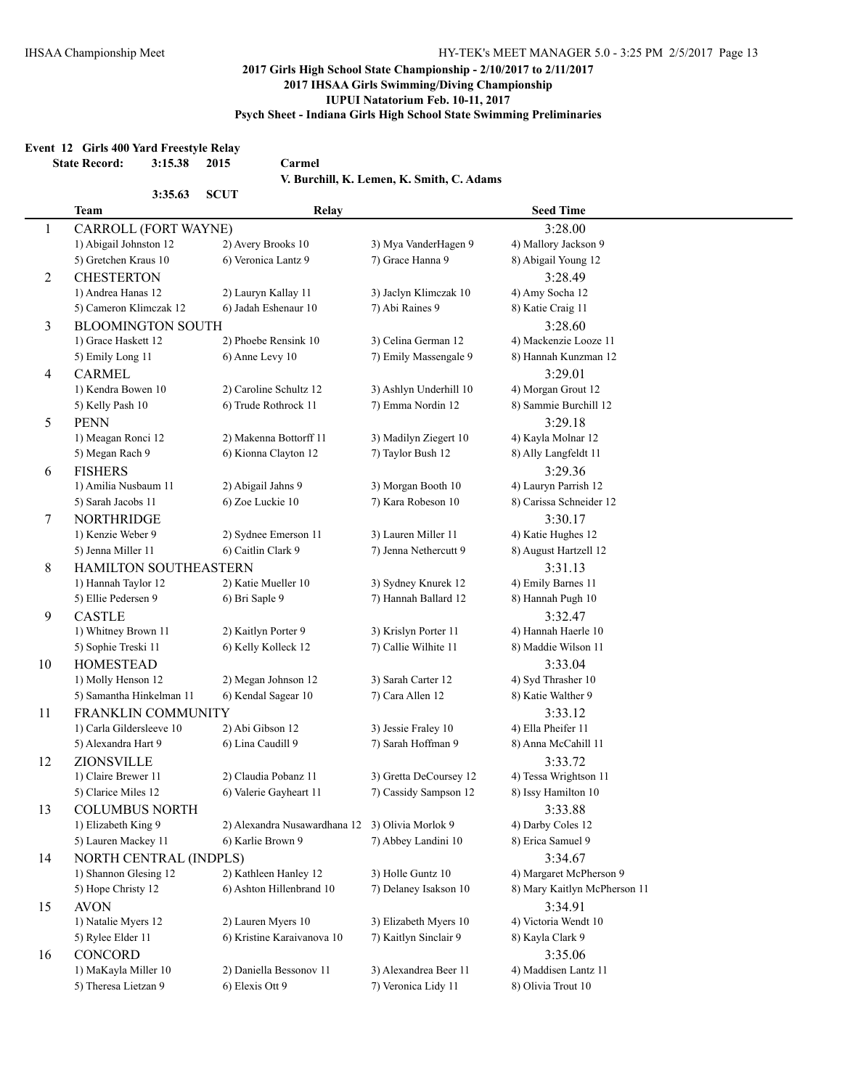l,

#### **2017 Girls High School State Championship - 2/10/2017 to 2/11/2017 2017 IHSAA Girls Swimming/Diving Championship IUPUI Natatorium Feb. 10-11, 2017 Psych Sheet - Indiana Girls High School State Swimming Preliminaries**

#### **Event 12 Girls 400 Yard Freestyle Relay**

**State Record: 3:15.38 2015 Carmel**

**V. Burchill, K. Lemen, K. Smith, C. Adams**

|    | 3:35.63                  | <b>SCUT</b>                                     |                        |                              |
|----|--------------------------|-------------------------------------------------|------------------------|------------------------------|
|    | <b>Team</b>              | Relay                                           |                        | <b>Seed Time</b>             |
| 1  | CARROLL (FORT WAYNE)     |                                                 |                        | 3:28.00                      |
|    | 1) Abigail Johnston 12   | 2) Avery Brooks 10                              | 3) Mya VanderHagen 9   | 4) Mallory Jackson 9         |
|    | 5) Gretchen Kraus 10     | 6) Veronica Lantz 9                             | 7) Grace Hanna 9       | 8) Abigail Young 12          |
| 2  | <b>CHESTERTON</b>        |                                                 |                        | 3:28.49                      |
|    | 1) Andrea Hanas 12       | 2) Lauryn Kallay 11                             | 3) Jaclyn Klimczak 10  | 4) Amy Socha 12              |
|    | 5) Cameron Klimczak 12   | 6) Jadah Eshenaur 10                            | 7) Abi Raines 9        | 8) Katie Craig 11            |
| 3  | <b>BLOOMINGTON SOUTH</b> |                                                 |                        | 3:28.60                      |
|    | 1) Grace Haskett 12      | 2) Phoebe Rensink 10                            | 3) Celina German 12    | 4) Mackenzie Looze 11        |
|    | 5) Emily Long 11         | 6) Anne Levy 10                                 | 7) Emily Massengale 9  | 8) Hannah Kunzman 12         |
| 4  | <b>CARMEL</b>            |                                                 |                        | 3:29.01                      |
|    | 1) Kendra Bowen 10       | 2) Caroline Schultz 12                          | 3) Ashlyn Underhill 10 | 4) Morgan Grout 12           |
|    | 5) Kelly Pash 10         | 6) Trude Rothrock 11                            | 7) Emma Nordin 12      | 8) Sammie Burchill 12        |
| 5  | <b>PENN</b>              |                                                 |                        | 3:29.18                      |
|    | 1) Meagan Ronci 12       | 2) Makenna Bottorff 11                          | 3) Madilyn Ziegert 10  | 4) Kayla Molnar 12           |
|    | 5) Megan Rach 9          | 6) Kionna Clayton 12                            | 7) Taylor Bush 12      | 8) Ally Langfeldt 11         |
| 6  | <b>FISHERS</b>           |                                                 |                        | 3:29.36                      |
|    | 1) Amilia Nusbaum 11     | 2) Abigail Jahns 9                              | 3) Morgan Booth 10     | 4) Lauryn Parrish 12         |
|    | 5) Sarah Jacobs 11       | 6) Zoe Luckie 10                                | 7) Kara Robeson 10     | 8) Carissa Schneider 12      |
| 7  | <b>NORTHRIDGE</b>        |                                                 |                        | 3:30.17                      |
|    | 1) Kenzie Weber 9        | 2) Sydnee Emerson 11                            | 3) Lauren Miller 11    | 4) Katie Hughes 12           |
|    | 5) Jenna Miller 11       | 6) Caitlin Clark 9                              | 7) Jenna Nethercutt 9  | 8) August Hartzell 12        |
| 8  | HAMILTON SOUTHEASTERN    |                                                 |                        | 3:31.13                      |
|    | 1) Hannah Taylor 12      | 2) Katie Mueller 10                             | 3) Sydney Knurek 12    | 4) Emily Barnes 11           |
|    | 5) Ellie Pedersen 9      | 6) Bri Saple 9                                  | 7) Hannah Ballard 12   | 8) Hannah Pugh 10            |
| 9  | <b>CASTLE</b>            |                                                 |                        | 3:32.47                      |
|    | 1) Whitney Brown 11      | 2) Kaitlyn Porter 9                             | 3) Krislyn Porter 11   | 4) Hannah Haerle 10          |
|    | 5) Sophie Treski 11      | 6) Kelly Kolleck 12                             | 7) Callie Wilhite 11   | 8) Maddie Wilson 11          |
| 10 | <b>HOMESTEAD</b>         |                                                 |                        | 3:33.04                      |
|    | 1) Molly Henson 12       | 2) Megan Johnson 12                             | 3) Sarah Carter 12     | 4) Syd Thrasher 10           |
|    | 5) Samantha Hinkelman 11 | 6) Kendal Sagear 10                             | 7) Cara Allen 12       | 8) Katie Walther 9           |
| 11 | FRANKLIN COMMUNITY       |                                                 |                        | 3:33.12                      |
|    | 1) Carla Gildersleeve 10 | 2) Abi Gibson 12                                | 3) Jessie Fraley 10    | 4) Ella Pheifer 11           |
|    | 5) Alexandra Hart 9      | 6) Lina Caudill 9                               | 7) Sarah Hoffman 9     | 8) Anna McCahill 11          |
| 12 | ZIONSVILLE               |                                                 |                        | 3:33.72                      |
|    | 1) Claire Brewer 11      | 2) Claudia Pobanz 11                            | 3) Gretta DeCoursey 12 | 4) Tessa Wrightson 11        |
|    | 5) Clarice Miles 12      | 6) Valerie Gayheart 11                          | 7) Cassidy Sampson 12  | 8) Issy Hamilton 10          |
| 13 | <b>COLUMBUS NORTH</b>    |                                                 |                        | 3:33.88                      |
|    | 1) Elizabeth King 9      | 2) Alexandra Nusawardhana 12 3) Olivia Morlok 9 |                        | 4) Darby Coles 12            |
|    | 5) Lauren Mackey 11      | 6) Karlie Brown 9                               | 7) Abbey Landini 10    | 8) Erica Samuel 9            |
| 14 | NORTH CENTRAL (INDPLS)   |                                                 |                        | 3:34.67                      |
|    | 1) Shannon Glesing 12    | 2) Kathleen Hanley 12                           | 3) Holle Guntz 10      | 4) Margaret McPherson 9      |
|    | 5) Hope Christy 12       | 6) Ashton Hillenbrand 10                        | 7) Delaney Isakson 10  | 8) Mary Kaitlyn McPherson 11 |
| 15 | <b>AVON</b>              |                                                 |                        | 3:34.91                      |
|    | 1) Natalie Myers 12      | 2) Lauren Myers 10                              | 3) Elizabeth Myers 10  | 4) Victoria Wendt 10         |
|    | 5) Rylee Elder 11        | 6) Kristine Karaivanova 10                      | 7) Kaitlyn Sinclair 9  | 8) Kayla Clark 9             |
| 16 | <b>CONCORD</b>           |                                                 |                        | 3:35.06                      |
|    | 1) MaKayla Miller 10     | 2) Daniella Bessonov 11                         | 3) Alexandrea Beer 11  | 4) Maddisen Lantz 11         |
|    | 5) Theresa Lietzan 9     | 6) Elexis Ott 9                                 | 7) Veronica Lidy 11    | 8) Olivia Trout 10           |